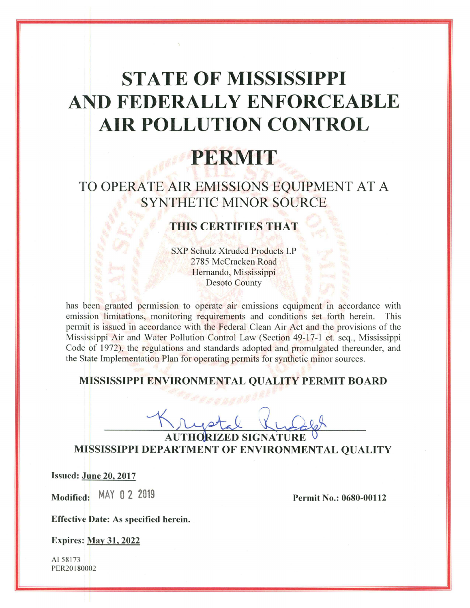# **STATE OF MISSISSIPPI** AND FEDERALLY ENFORCEABLE **AIR POLLUTION CONTROL**

# PERMIT

## TO OPERATE AIR EMISSIONS EQUIPMENT AT A **SYNTHETIC MINOR SOURCE**

### **THIS CERTIFIES THAT**

**SXP Schulz Xtruded Products LP** 2785 McCracken Road Hernando, Mississippi **Desoto County** 

has been granted permission to operate air emissions equipment in accordance with emission limitations, monitoring requirements and conditions set forth herein. This permit is issued in accordance with the Federal Clean Air Act and the provisions of the Mississippi Air and Water Pollution Control Law (Section 49-17-1 et. seq., Mississippi Code of 1972), the regulations and standards adopted and promulgated thereunder, and the State Implementation Plan for operating permits for synthetic minor sources.

#### MISSISSIPPI ENVIRONMENTAL QUALITY PERMIT BOARD

AUTHORIZED SIGNATURE MISSISSIPPI DEPARTMENT OF ENVIRONMENTAL QUALITY

**Issued: June 20, 2017** 

Modified: MAY 0 2 2019

**Permit No.: 0680-00112** 

**Effective Date: As specified herein.** 

**Expires: May 31, 2022** 

AI 58173 PER20180002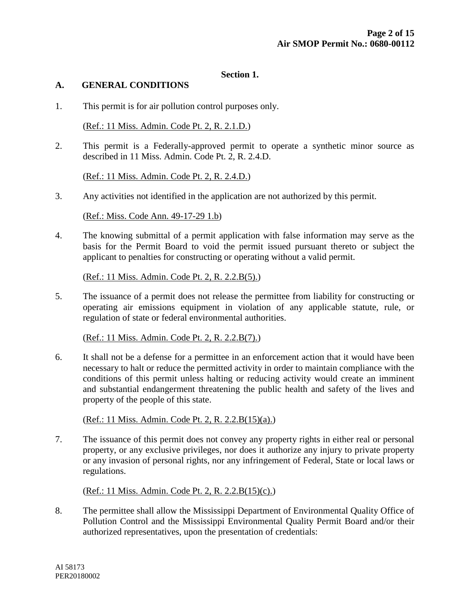#### **Section 1.**

#### **A. GENERAL CONDITIONS**

1. This permit is for air pollution control purposes only.

(Ref.: 11 Miss. Admin. Code Pt. 2, R. 2.1.D.)

2. This permit is a Federally-approved permit to operate a synthetic minor source as described in 11 Miss. Admin. Code Pt. 2, R. 2.4.D.

(Ref.: 11 Miss. Admin. Code Pt. 2, R. 2.4.D.)

3. Any activities not identified in the application are not authorized by this permit.

(Ref.: Miss. Code Ann. 49-17-29 1.b)

4. The knowing submittal of a permit application with false information may serve as the basis for the Permit Board to void the permit issued pursuant thereto or subject the applicant to penalties for constructing or operating without a valid permit.

(Ref.: 11 Miss. Admin. Code Pt. 2, R. 2.2.B(5).)

5. The issuance of a permit does not release the permittee from liability for constructing or operating air emissions equipment in violation of any applicable statute, rule, or regulation of state or federal environmental authorities.

(Ref.: 11 Miss. Admin. Code Pt. 2, R. 2.2.B(7).)

6. It shall not be a defense for a permittee in an enforcement action that it would have been necessary to halt or reduce the permitted activity in order to maintain compliance with the conditions of this permit unless halting or reducing activity would create an imminent and substantial endangerment threatening the public health and safety of the lives and property of the people of this state.

(Ref.: 11 Miss. Admin. Code Pt. 2, R. 2.2.B(15)(a).)

7. The issuance of this permit does not convey any property rights in either real or personal property, or any exclusive privileges, nor does it authorize any injury to private property or any invasion of personal rights, nor any infringement of Federal, State or local laws or regulations.

(Ref.: 11 Miss. Admin. Code Pt. 2, R. 2.2.B(15)(c).)

8. The permittee shall allow the Mississippi Department of Environmental Quality Office of Pollution Control and the Mississippi Environmental Quality Permit Board and/or their authorized representatives, upon the presentation of credentials: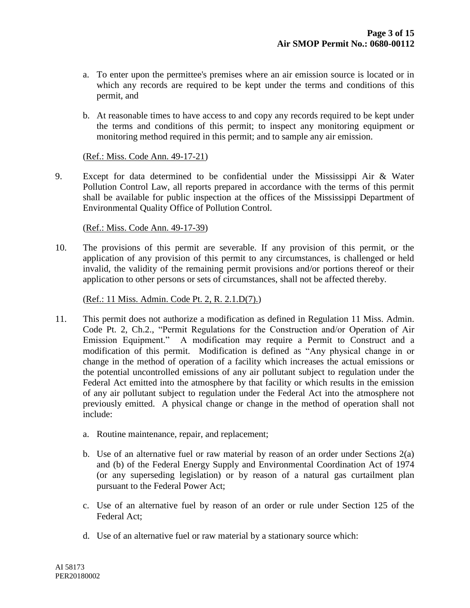- a. To enter upon the permittee's premises where an air emission source is located or in which any records are required to be kept under the terms and conditions of this permit, and
- b. At reasonable times to have access to and copy any records required to be kept under the terms and conditions of this permit; to inspect any monitoring equipment or monitoring method required in this permit; and to sample any air emission.

#### (Ref.: Miss. Code Ann. 49-17-21)

9. Except for data determined to be confidential under the Mississippi Air & Water Pollution Control Law, all reports prepared in accordance with the terms of this permit shall be available for public inspection at the offices of the Mississippi Department of Environmental Quality Office of Pollution Control.

#### (Ref.: Miss. Code Ann. 49-17-39)

10. The provisions of this permit are severable. If any provision of this permit, or the application of any provision of this permit to any circumstances, is challenged or held invalid, the validity of the remaining permit provisions and/or portions thereof or their application to other persons or sets of circumstances, shall not be affected thereby.

#### (Ref.: 11 Miss. Admin. Code Pt. 2, R. 2.1.D(7).)

- 11. This permit does not authorize a modification as defined in Regulation 11 Miss. Admin. Code Pt. 2, Ch.2., "Permit Regulations for the Construction and/or Operation of Air Emission Equipment." A modification may require a Permit to Construct and a modification of this permit. Modification is defined as "Any physical change in or change in the method of operation of a facility which increases the actual emissions or the potential uncontrolled emissions of any air pollutant subject to regulation under the Federal Act emitted into the atmosphere by that facility or which results in the emission of any air pollutant subject to regulation under the Federal Act into the atmosphere not previously emitted. A physical change or change in the method of operation shall not include:
	- a. Routine maintenance, repair, and replacement;
	- b. Use of an alternative fuel or raw material by reason of an order under Sections 2(a) and (b) of the Federal Energy Supply and Environmental Coordination Act of 1974 (or any superseding legislation) or by reason of a natural gas curtailment plan pursuant to the Federal Power Act;
	- c. Use of an alternative fuel by reason of an order or rule under Section 125 of the Federal Act;
	- d. Use of an alternative fuel or raw material by a stationary source which: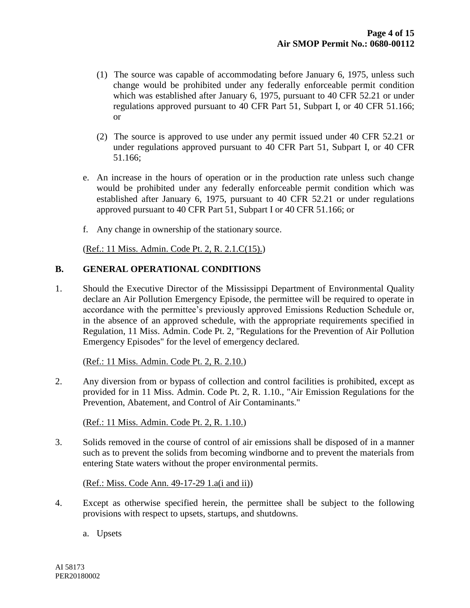- (1) The source was capable of accommodating before January 6, 1975, unless such change would be prohibited under any federally enforceable permit condition which was established after January 6, 1975, pursuant to 40 CFR 52.21 or under regulations approved pursuant to 40 CFR Part 51, Subpart I, or 40 CFR 51.166; or
- (2) The source is approved to use under any permit issued under 40 CFR 52.21 or under regulations approved pursuant to 40 CFR Part 51, Subpart I, or 40 CFR 51.166;
- e. An increase in the hours of operation or in the production rate unless such change would be prohibited under any federally enforceable permit condition which was established after January 6, 1975, pursuant to 40 CFR 52.21 or under regulations approved pursuant to 40 CFR Part 51, Subpart I or 40 CFR 51.166; or
- f. Any change in ownership of the stationary source.

(Ref.: 11 Miss. Admin. Code Pt. 2, R. 2.1.C(15).)

#### **B. GENERAL OPERATIONAL CONDITIONS**

1. Should the Executive Director of the Mississippi Department of Environmental Quality declare an Air Pollution Emergency Episode, the permittee will be required to operate in accordance with the permittee's previously approved Emissions Reduction Schedule or, in the absence of an approved schedule, with the appropriate requirements specified in Regulation, 11 Miss. Admin. Code Pt. 2, "Regulations for the Prevention of Air Pollution Emergency Episodes" for the level of emergency declared.

#### (Ref.: 11 Miss. Admin. Code Pt. 2, R. 2.10.)

2. Any diversion from or bypass of collection and control facilities is prohibited, except as provided for in 11 Miss. Admin. Code Pt. 2, R. 1.10., "Air Emission Regulations for the Prevention, Abatement, and Control of Air Contaminants."

(Ref.: 11 Miss. Admin. Code Pt. 2, R. 1.10.)

3. Solids removed in the course of control of air emissions shall be disposed of in a manner such as to prevent the solids from becoming windborne and to prevent the materials from entering State waters without the proper environmental permits.

(Ref.: Miss. Code Ann. 49-17-29 1.a(i and ii))

- 4. Except as otherwise specified herein, the permittee shall be subject to the following provisions with respect to upsets, startups, and shutdowns.
	- a. Upsets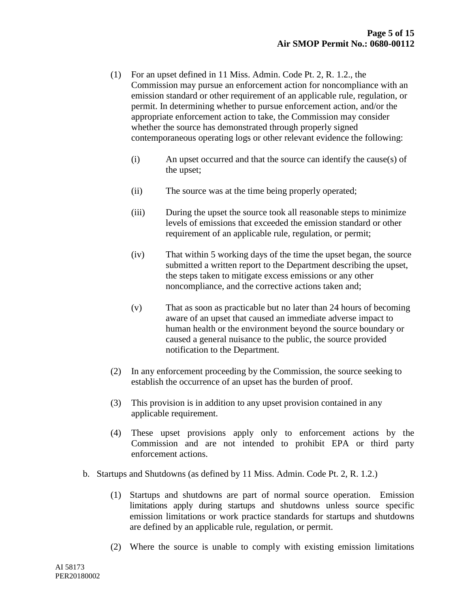- (1) For an upset defined in 11 Miss. Admin. Code Pt. 2, R. 1.2., the Commission may pursue an enforcement action for noncompliance with an emission standard or other requirement of an applicable rule, regulation, or permit. In determining whether to pursue enforcement action, and/or the appropriate enforcement action to take, the Commission may consider whether the source has demonstrated through properly signed contemporaneous operating logs or other relevant evidence the following:
	- (i) An upset occurred and that the source can identify the cause(s) of the upset;
	- (ii) The source was at the time being properly operated;
	- (iii) During the upset the source took all reasonable steps to minimize levels of emissions that exceeded the emission standard or other requirement of an applicable rule, regulation, or permit;
	- (iv) That within 5 working days of the time the upset began, the source submitted a written report to the Department describing the upset, the steps taken to mitigate excess emissions or any other noncompliance, and the corrective actions taken and;
	- (v) That as soon as practicable but no later than 24 hours of becoming aware of an upset that caused an immediate adverse impact to human health or the environment beyond the source boundary or caused a general nuisance to the public, the source provided notification to the Department.
- (2) In any enforcement proceeding by the Commission, the source seeking to establish the occurrence of an upset has the burden of proof.
- (3) This provision is in addition to any upset provision contained in any applicable requirement.
- (4) These upset provisions apply only to enforcement actions by the Commission and are not intended to prohibit EPA or third party enforcement actions.
- b. Startups and Shutdowns (as defined by 11 Miss. Admin. Code Pt. 2, R. 1.2.)
	- (1) Startups and shutdowns are part of normal source operation. Emission limitations apply during startups and shutdowns unless source specific emission limitations or work practice standards for startups and shutdowns are defined by an applicable rule, regulation, or permit.
	- (2) Where the source is unable to comply with existing emission limitations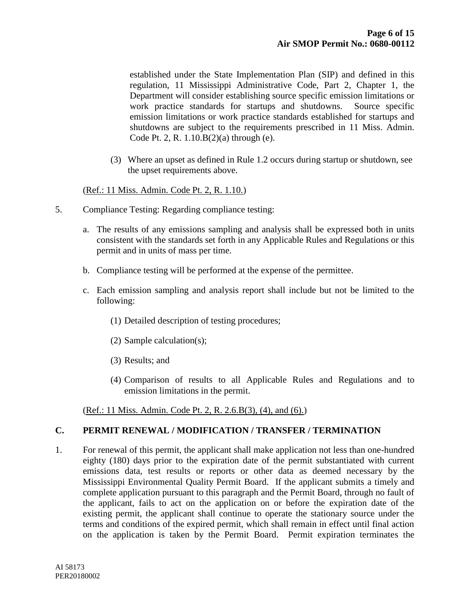established under the State Implementation Plan (SIP) and defined in this regulation, 11 Mississippi Administrative Code, Part 2, Chapter 1, the Department will consider establishing source specific emission limitations or work practice standards for startups and shutdowns. Source specific emission limitations or work practice standards established for startups and shutdowns are subject to the requirements prescribed in 11 Miss. Admin. Code Pt. 2, R. 1.10.B(2)(a) through (e).

(3) Where an upset as defined in Rule 1.2 occurs during startup or shutdown, see the upset requirements above.

#### (Ref.: 11 Miss. Admin. Code Pt. 2, R. 1.10.)

- 5. Compliance Testing: Regarding compliance testing:
	- a. The results of any emissions sampling and analysis shall be expressed both in units consistent with the standards set forth in any Applicable Rules and Regulations or this permit and in units of mass per time.
	- b. Compliance testing will be performed at the expense of the permittee.
	- c. Each emission sampling and analysis report shall include but not be limited to the following:
		- (1) Detailed description of testing procedures;
		- (2) Sample calculation(s);
		- (3) Results; and
		- (4) Comparison of results to all Applicable Rules and Regulations and to emission limitations in the permit.

(Ref.: 11 Miss. Admin. Code Pt. 2, R. 2.6.B(3), (4), and (6).)

#### **C. PERMIT RENEWAL / MODIFICATION / TRANSFER / TERMINATION**

1. For renewal of this permit, the applicant shall make application not less than one-hundred eighty (180) days prior to the expiration date of the permit substantiated with current emissions data, test results or reports or other data as deemed necessary by the Mississippi Environmental Quality Permit Board. If the applicant submits a timely and complete application pursuant to this paragraph and the Permit Board, through no fault of the applicant, fails to act on the application on or before the expiration date of the existing permit, the applicant shall continue to operate the stationary source under the terms and conditions of the expired permit, which shall remain in effect until final action on the application is taken by the Permit Board. Permit expiration terminates the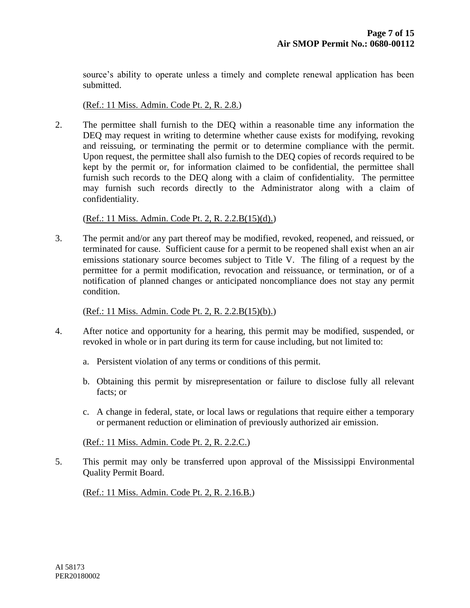source's ability to operate unless a timely and complete renewal application has been submitted.

(Ref.: 11 Miss. Admin. Code Pt. 2, R. 2.8.)

2. The permittee shall furnish to the DEQ within a reasonable time any information the DEQ may request in writing to determine whether cause exists for modifying, revoking and reissuing, or terminating the permit or to determine compliance with the permit. Upon request, the permittee shall also furnish to the DEQ copies of records required to be kept by the permit or, for information claimed to be confidential, the permittee shall furnish such records to the DEQ along with a claim of confidentiality. The permittee may furnish such records directly to the Administrator along with a claim of confidentiality.

(Ref.: 11 Miss. Admin. Code Pt. 2, R. 2.2.B(15)(d).)

3. The permit and/or any part thereof may be modified, revoked, reopened, and reissued, or terminated for cause. Sufficient cause for a permit to be reopened shall exist when an air emissions stationary source becomes subject to Title V. The filing of a request by the permittee for a permit modification, revocation and reissuance, or termination, or of a notification of planned changes or anticipated noncompliance does not stay any permit condition.

(Ref.: 11 Miss. Admin. Code Pt. 2, R. 2.2.B(15)(b).)

- 4. After notice and opportunity for a hearing, this permit may be modified, suspended, or revoked in whole or in part during its term for cause including, but not limited to:
	- a. Persistent violation of any terms or conditions of this permit.
	- b. Obtaining this permit by misrepresentation or failure to disclose fully all relevant facts; or
	- c. A change in federal, state, or local laws or regulations that require either a temporary or permanent reduction or elimination of previously authorized air emission.

(Ref.: 11 Miss. Admin. Code Pt. 2, R. 2.2.C.)

5. This permit may only be transferred upon approval of the Mississippi Environmental Quality Permit Board.

(Ref.: 11 Miss. Admin. Code Pt. 2, R. 2.16.B.)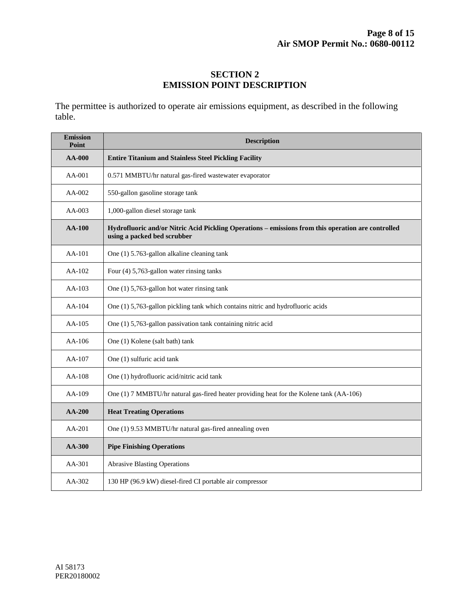#### **SECTION 2 EMISSION POINT DESCRIPTION**

The permittee is authorized to operate air emissions equipment, as described in the following table.

| <b>Emission</b><br>Point | <b>Description</b>                                                                                                                |  |  |
|--------------------------|-----------------------------------------------------------------------------------------------------------------------------------|--|--|
| $AA-000$                 | <b>Entire Titanium and Stainless Steel Pickling Facility</b>                                                                      |  |  |
| $AA-001$                 | 0.571 MMBTU/hr natural gas-fired wastewater evaporator                                                                            |  |  |
| $AA-002$                 | 550-gallon gasoline storage tank                                                                                                  |  |  |
| $AA-003$                 | 1,000-gallon diesel storage tank                                                                                                  |  |  |
| <b>AA-100</b>            | Hydrofluoric and/or Nitric Acid Pickling Operations - emissions from this operation are controlled<br>using a packed bed scrubber |  |  |
| AA-101                   | One (1) 5.763-gallon alkaline cleaning tank                                                                                       |  |  |
| $AA-102$                 | Four (4) 5,763-gallon water rinsing tanks                                                                                         |  |  |
| $AA-103$                 | One (1) 5,763-gallon hot water rinsing tank                                                                                       |  |  |
| AA-104                   | One (1) 5,763-gallon pickling tank which contains nitric and hydrofluoric acids                                                   |  |  |
| $AA-105$                 | One (1) 5,763-gallon passivation tank containing nitric acid                                                                      |  |  |
| AA-106                   | One (1) Kolene (salt bath) tank                                                                                                   |  |  |
| AA-107                   | One (1) sulfuric acid tank                                                                                                        |  |  |
| AA-108                   | One (1) hydrofluoric acid/nitric acid tank                                                                                        |  |  |
| AA-109                   | One (1) 7 MMBTU/hr natural gas-fired heater providing heat for the Kolene tank (AA-106)                                           |  |  |
| $AA-200$                 | <b>Heat Treating Operations</b>                                                                                                   |  |  |
| AA-201                   | One (1) 9.53 MMBTU/hr natural gas-fired annealing oven                                                                            |  |  |
| $AA-300$                 | <b>Pipe Finishing Operations</b>                                                                                                  |  |  |
| AA-301                   | <b>Abrasive Blasting Operations</b>                                                                                               |  |  |
| AA-302                   | 130 HP (96.9 kW) diesel-fired CI portable air compressor                                                                          |  |  |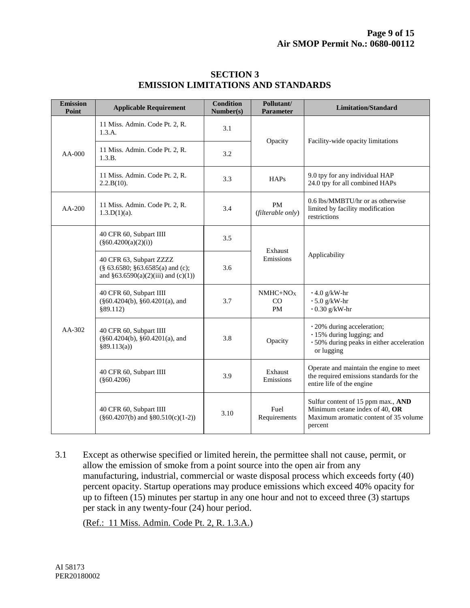| <b>Emission</b><br>Point | <b>Applicable Requirement</b>                                                                            | <b>Condition</b><br>Number(s) | Pollutant/<br><b>Parameter</b> | <b>Limitation/Standard</b>                                                                                               |
|--------------------------|----------------------------------------------------------------------------------------------------------|-------------------------------|--------------------------------|--------------------------------------------------------------------------------------------------------------------------|
| $AA-000$                 | 11 Miss. Admin. Code Pt. 2, R.<br>1.3.A.                                                                 | 3.1                           | Opacity                        | Facility-wide opacity limitations                                                                                        |
|                          | 11 Miss. Admin. Code Pt. 2, R.<br>1.3.B.                                                                 | 3.2                           |                                |                                                                                                                          |
|                          | 11 Miss. Admin. Code Pt. 2, R.<br>2.2.B(10).                                                             | 3.3                           | <b>HAPs</b>                    | 9.0 tpy for any individual HAP<br>24.0 tpy for all combined HAPs                                                         |
| $AA-200$                 | 11 Miss. Admin. Code Pt. 2, R.<br>$1.3.D(1)(a)$ .                                                        | 3.4                           | <b>PM</b><br>(filterable only) | 0.6 lbs/MMBTU/hr or as otherwise<br>limited by facility modification<br>restrictions                                     |
| AA-302                   | 40 CFR 60, Subpart IIII<br>$(\$60.4200(a)(2)(i))$                                                        | 3.5                           | Exhaust<br>Emissions           | Applicability                                                                                                            |
|                          | 40 CFR 63, Subpart ZZZZ<br>$(\$ 63.6580; \$63.6585(a)$ and (c);<br>and $§63.6590(a)(2)(iii)$ and (c)(1)) | 3.6                           |                                |                                                                                                                          |
|                          | 40 CFR 60, Subpart IIII<br>$(\S 60.4204(b), \S 60.4201(a),$ and<br>§89.112)                              | 3.7                           | $NMHC+NOX$<br>CO<br><b>PM</b>  | $\cdot$ 4.0 g/kW-hr<br>$\cdot$ 5.0 g/kW-hr<br>$\cdot$ 0.30 g/kW-hr                                                       |
|                          | 40 CFR 60, Subpart IIII<br>$(\S 60.4204(b), \S 60.4201(a),$ and<br>§89.113(a)                            | 3.8                           | Opacity                        | $\cdot$ 20% during acceleration;<br>· 15% during lugging; and<br>· 50% during peaks in either acceleration<br>or lugging |
|                          | 40 CFR 60, Subpart IIII<br>$(\$60.4206)$                                                                 | 3.9                           | Exhaust<br>Emissions           | Operate and maintain the engine to meet<br>the required emissions standards for the<br>entire life of the engine         |
|                          | 40 CFR 60, Subpart IIII<br>$(\S 60.4207(b)$ and $\S 80.510(c)(1-2))$                                     | 3.10                          | Fuel<br>Requirements           | Sulfur content of 15 ppm max., AND<br>Minimum cetane index of 40, OR<br>Maximum aromatic content of 35 volume<br>percent |

#### **SECTION 3 EMISSION LIMITATIONS AND STANDARDS**

3.1 Except as otherwise specified or limited herein, the permittee shall not cause, permit, or allow the emission of smoke from a point source into the open air from any manufacturing, industrial, commercial or waste disposal process which exceeds forty (40) percent opacity. Startup operations may produce emissions which exceed 40% opacity for up to fifteen (15) minutes per startup in any one hour and not to exceed three (3) startups per stack in any twenty-four (24) hour period.

(Ref.: 11 Miss. Admin. Code Pt. 2, R. 1.3.A.)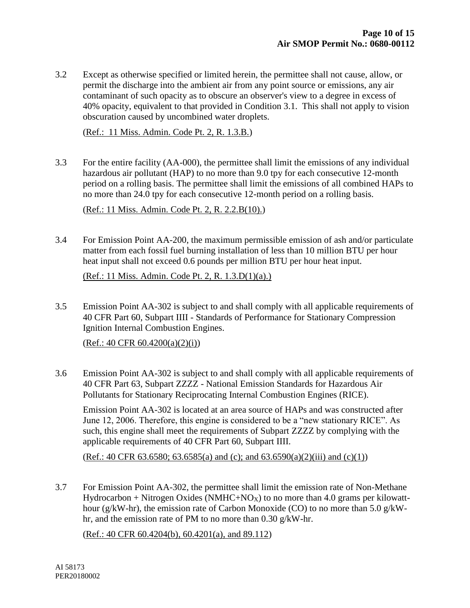3.2 Except as otherwise specified or limited herein, the permittee shall not cause, allow, or permit the discharge into the ambient air from any point source or emissions, any air contaminant of such opacity as to obscure an observer's view to a degree in excess of 40% opacity, equivalent to that provided in Condition 3.1. This shall not apply to vision obscuration caused by uncombined water droplets.

(Ref.: 11 Miss. Admin. Code Pt. 2, R. 1.3.B.)

3.3 For the entire facility (AA-000), the permittee shall limit the emissions of any individual hazardous air pollutant (HAP) to no more than 9.0 tpy for each consecutive 12-month period on a rolling basis. The permittee shall limit the emissions of all combined HAPs to no more than 24.0 tpy for each consecutive 12-month period on a rolling basis.

(Ref.: 11 Miss. Admin. Code Pt. 2, R. 2.2.B(10).)

3.4 For Emission Point AA-200, the maximum permissible emission of ash and/or particulate matter from each fossil fuel burning installation of less than 10 million BTU per hour heat input shall not exceed 0.6 pounds per million BTU per hour heat input.

(Ref.: 11 Miss. Admin. Code Pt. 2, R. 1.3.D(1)(a).)

3.5 Emission Point AA-302 is subject to and shall comply with all applicable requirements of 40 CFR Part 60, Subpart IIII - Standards of Performance for Stationary Compression Ignition Internal Combustion Engines.

 $(Ref.: 40 CFR 60.4200(a)(2)(i))$ 

3.6 Emission Point AA-302 is subject to and shall comply with all applicable requirements of 40 CFR Part 63, Subpart ZZZZ - National Emission Standards for Hazardous Air Pollutants for Stationary Reciprocating Internal Combustion Engines (RICE).

Emission Point AA-302 is located at an area source of HAPs and was constructed after June 12, 2006. Therefore, this engine is considered to be a "new stationary RICE". As such, this engine shall meet the requirements of Subpart ZZZZ by complying with the applicable requirements of 40 CFR Part 60, Subpart IIII.

(Ref.: 40 CFR 63.6580; 63.6585(a) and (c); and 63.6590(a)(2)(iii) and (c)(1))

3.7 For Emission Point AA-302, the permittee shall limit the emission rate of Non-Methane Hydrocarbon + Nitrogen Oxides (NMHC+NO<sub>X</sub>) to no more than 4.0 grams per kilowatthour (g/kW-hr), the emission rate of Carbon Monoxide (CO) to no more than 5.0 g/kWhr, and the emission rate of PM to no more than 0.30 g/kW-hr.

(Ref.: 40 CFR 60.4204(b), 60.4201(a), and 89.112)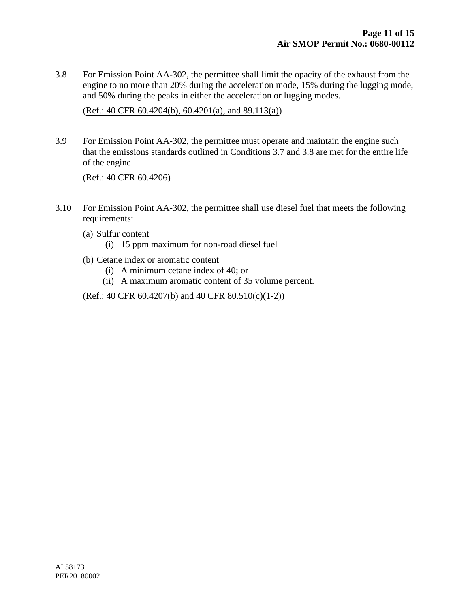3.8 For Emission Point AA-302, the permittee shall limit the opacity of the exhaust from the engine to no more than 20% during the acceleration mode, 15% during the lugging mode, and 50% during the peaks in either the acceleration or lugging modes.

 $(Ref.: 40 CFR 60.4204(b), 60.4201(a), and 89.113(a))$ 

3.9 For Emission Point AA-302, the permittee must operate and maintain the engine such that the emissions standards outlined in Conditions 3.7 and 3.8 are met for the entire life of the engine.

(Ref.: 40 CFR 60.4206)

- 3.10 For Emission Point AA-302, the permittee shall use diesel fuel that meets the following requirements:
	- (a) Sulfur content
		- (i) 15 ppm maximum for non-road diesel fuel
	- (b) Cetane index or aromatic content
		- (i) A minimum cetane index of 40; or
		- (ii) A maximum aromatic content of 35 volume percent.

 $(Ref.: 40 CFR 60.4207(b)$  and 40 CFR  $80.510(c)(1-2))$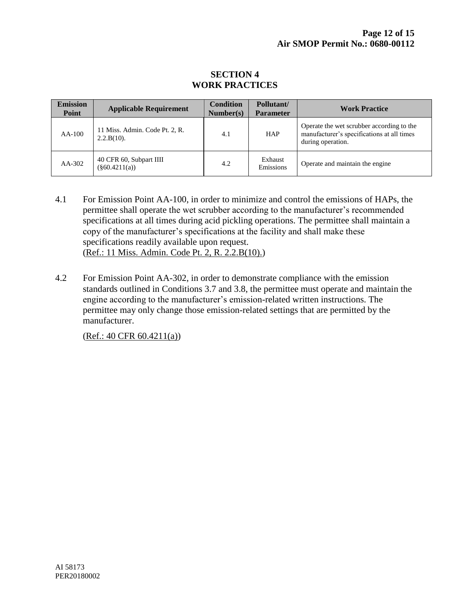#### **SECTION 4 WORK PRACTICES**

| <b>Emission</b><br><b>Point</b> | <b>Applicable Requirement</b>                   | <b>Condition</b><br>Number(s) | Pollutant/<br><b>Parameter</b> | <b>Work Practice</b>                                                                                         |
|---------------------------------|-------------------------------------------------|-------------------------------|--------------------------------|--------------------------------------------------------------------------------------------------------------|
| $AA-100$                        | 11 Miss. Admin. Code Pt. 2, R.<br>$2.2.B(10)$ . | 4.1                           | <b>HAP</b>                     | Operate the wet scrubber according to the<br>manufacturer's specifications at all times<br>during operation. |
| $AA-302$                        | 40 CFR 60, Subpart IIII<br>$(\$60.4211(a))$     | 4.2                           | Exhaust<br>Emissions           | Operate and maintain the engine                                                                              |

- 4.1 For Emission Point AA-100, in order to minimize and control the emissions of HAPs, the permittee shall operate the wet scrubber according to the manufacturer's recommended specifications at all times during acid pickling operations. The permittee shall maintain a copy of the manufacturer's specifications at the facility and shall make these specifications readily available upon request. (Ref.: 11 Miss. Admin. Code Pt. 2, R. 2.2.B(10).)
- 4.2 For Emission Point AA-302, in order to demonstrate compliance with the emission standards outlined in Conditions 3.7 and 3.8, the permittee must operate and maintain the engine according to the manufacturer's emission-related written instructions. The permittee may only change those emission-related settings that are permitted by the manufacturer.

 $(Ref.: 40 CFR 60.4211(a))$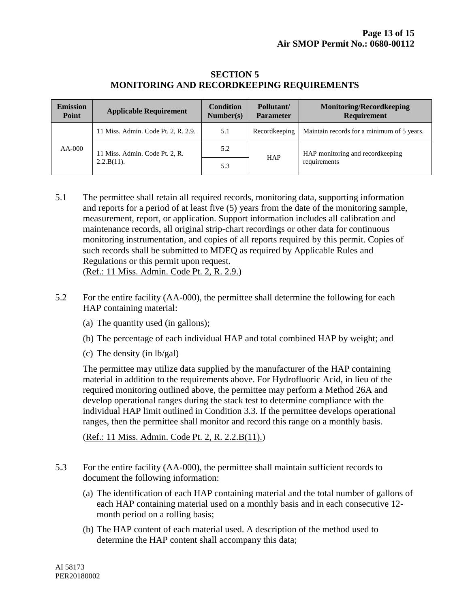### **SECTION 5 MONITORING AND RECORDKEEPING REQUIREMENTS**

| <b>Emission</b><br>Point | <b>Applicable Requirement</b>                   | <b>Condition</b><br>Number(s) | Pollutant/<br><b>Parameter</b> | <b>Monitoring/Recordkeeping</b><br><b>Requirement</b> |
|--------------------------|-------------------------------------------------|-------------------------------|--------------------------------|-------------------------------------------------------|
| $AA-000$                 | 11 Miss. Admin. Code Pt. 2, R. 2.9.             | 5.1                           | Recordkeeping                  | Maintain records for a minimum of 5 years.            |
|                          | 11 Miss. Admin. Code Pt. 2, R.<br>$2.2.B(11)$ . | 5.2                           | <b>HAP</b>                     | HAP monitoring and record keeping<br>requirements     |
|                          |                                                 | 5.3                           |                                |                                                       |

- 5.1 The permittee shall retain all required records, monitoring data, supporting information and reports for a period of at least five (5) years from the date of the monitoring sample, measurement, report, or application. Support information includes all calibration and maintenance records, all original strip-chart recordings or other data for continuous monitoring instrumentation, and copies of all reports required by this permit. Copies of such records shall be submitted to MDEQ as required by Applicable Rules and Regulations or this permit upon request. (Ref.: 11 Miss. Admin. Code Pt. 2, R. 2.9.)
- 5.2 For the entire facility (AA-000), the permittee shall determine the following for each HAP containing material:
	- (a) The quantity used (in gallons);
	- (b) The percentage of each individual HAP and total combined HAP by weight; and
	- (c) The density (in lb/gal)

The permittee may utilize data supplied by the manufacturer of the HAP containing material in addition to the requirements above. For Hydrofluoric Acid, in lieu of the required monitoring outlined above, the permittee may perform a Method 26A and develop operational ranges during the stack test to determine compliance with the individual HAP limit outlined in Condition 3.3. If the permittee develops operational ranges, then the permittee shall monitor and record this range on a monthly basis.

(Ref.: 11 Miss. Admin. Code Pt. 2, R. 2.2.B(11).)

- 5.3 For the entire facility (AA-000), the permittee shall maintain sufficient records to document the following information:
	- (a) The identification of each HAP containing material and the total number of gallons of each HAP containing material used on a monthly basis and in each consecutive 12 month period on a rolling basis;
	- (b) The HAP content of each material used. A description of the method used to determine the HAP content shall accompany this data;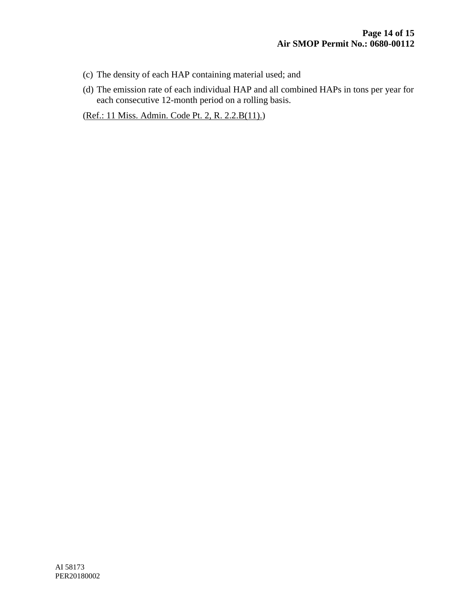- (c) The density of each HAP containing material used; and
- (d) The emission rate of each individual HAP and all combined HAPs in tons per year for each consecutive 12-month period on a rolling basis.

(Ref.: 11 Miss. Admin. Code Pt. 2, R. 2.2.B(11).)